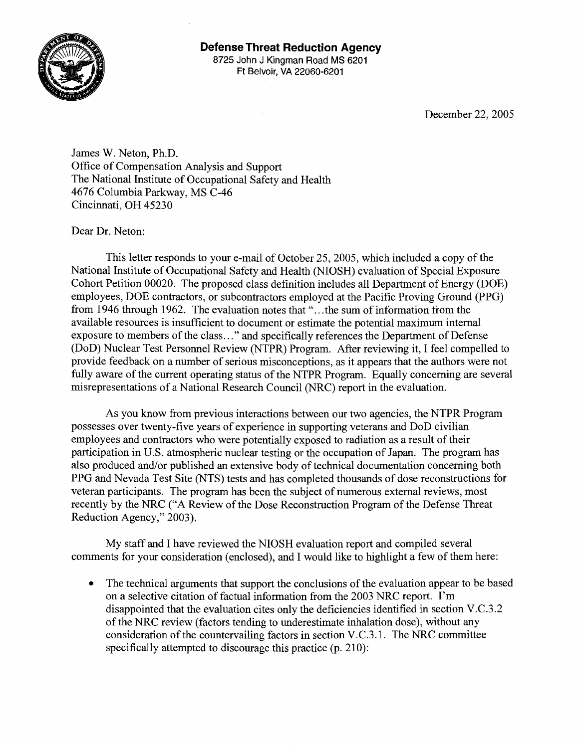

December 22,2005

James W. Neton, Ph.D. Office of Compensation Analysis and Support The National Institute of Occupational Safety and Health 4676 Columbia Parkway, MS C-46 Cincinnati, OH 45230

Dear Dr. Neton:

This letter responds to your e-mail of October 25,2005, which included a copy of the National Institute of Occupational Safety and Health (NIOSH) evaluation of Special Exposure Cohort Petition 00020. The proposed class definition includes all Department of Energy (DOE) employees, DOE contractors, or subcontractors employed at the Pacific Proving Ground (PPG) from 1946 through 1962. The evaluation notes that ". . .the sum of information from the available resources is insufficient to document or estimate the potential maximum internal exposure to members of the class.. ." and specifically references the Department of Defense (DoD) Nuclear Test Personnel Review (NTPR) Program. After reviewing it, I feel compelled to provide feedback on a number of serious misconceptions, as it appears that the authors were not fully aware of the current operating status of the NTPR Program. Equally concerning are several misrepresentations of a National Research Council (NRC) report in the evaluation.

As you know from previous interactions between our two agencies, the NTPR Program possesses over twenty-five years of experience in supporting veterans and DoD civilian employees and contractors who were potentially exposed to radiation as a result of their participation in U.S. atmospheric nuclear testing or the occupation of Japan. The program has also produced and/or published an extensive body of technical documentation concerning both PPG and Nevada Test Site (NTS) tests and has completed thousands of dose reconstructions for veteran participants. The program has been the subject of numerous external reviews, most recently by the NRC ("A Review of the Dose Reconstruction Program of the Defense Threat Reduction Agency," 2003).

My staff and I have reviewed the NIOSH evaluation report and compiled several comments for your consideration (enclosed), and I would like to highlight a few of them here:

The technical arguments that support the conclusions of the evaluation appear to be based  $\bullet$ on a selective citation of factual information from the 2003 NRC report. I'm disappointed that the evaluation cites only the deficiencies identified in section V.C.3.2 of the NRC review (factors tending to underestimate inhalation dose), without any consideration of the countervailing factors in section V.C.3.1. The NRC committee specifically attempted to discourage this practice  $(p. 210)$ :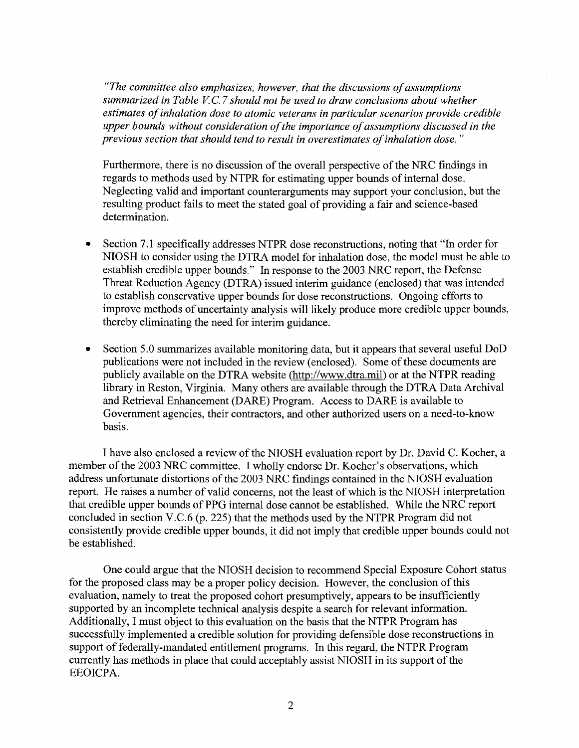*"The committee also emphasizes, however, that the discussions of assumptions summarized in Table V.C.7 should not be used to draw conclusions about whether estimates of inhalation dose to atomic veterans in particular scenarios provide credible upper bounds without consideration of the importance of assumptions discussed in the previous section that should tend to result in overestimates of inhalation dose.* "

Furthermore, there is no discussion of the overall perspective of the NRC findings in regards to methods used by NTPR for estimating upper bounds of internal dose. Neglecting valid and important counterarguments may support your conclusion, but the resulting product fails to meet the stated goal of providing a fair and science-based determination.

- Section 7.1 specifically addresses NTPR dose reconstructions, noting that "In order for NIOSH to consider using the DTRA model for inhalation dose, the model must be able to establish credible upper bounds." In response to the 2003 NRC report, the Defense Threat Reduction Agency (DTRA) issued interim guidance (enclosed) that was intended to establish conservative upper bounds for dose reconstructions. Ongoing efforts to improve methods of uncertainty analysis will likely produce more credible upper bounds, thereby eliminating the need for interim guidance.
- Section 5.0 summarizes available monitoring data, but it appears that several useful DoD publications were not included in the review (enclosed). Some of these documents are publicly available on the DTRA website (http://www.dtra.mil) or at the NTPR reading library in Reston, Virginia. Many others are available through the DTRA Data Archival and Retrieval Enhancement (DARE) Program. Access to DARE is available to Government agencies, their contractors, and other authorized users on a need-to-know basis.

I have also enclosed a review of the NIOSH evaluation report by Dr. David C. Kocher, a member of the 2003 NRC committee. I wholly endorse Dr. Kocher's observations, which address unfortunate distortions of the 2003 NRC findings contained in the NIOSH evaluation report. He raises a number of valid concerns, not the least of which is the NIOSH interpretation that credible upper bounds of PPG internal dose cannot be established. While the NRC report concluded in section V.C.6 (p. 225) that the methods used by the NTPR Program did not consistently provide credible upper bounds, it did not imply that credible upper bounds could not be established.

One could argue that the NIOSH decision to recommend Special Exposure Cohort status for the proposed class may be a proper policy decision. However, the conclusion of this evaluation, namely to treat the proposed cohort presumptively, appears to be insufficiently supported by an incomplete technical analysis despite a search for relevant information. Additionally, I must object to this evaluation on the basis that the NTPR Program has successfully implemented a credible solution for providing defensible dose reconstructions in support of federally-mandated entitlement programs. In this regard, the NTPR Program currently has methods in place that could acceptably assist hTIOSH in its support of the EEOICPA.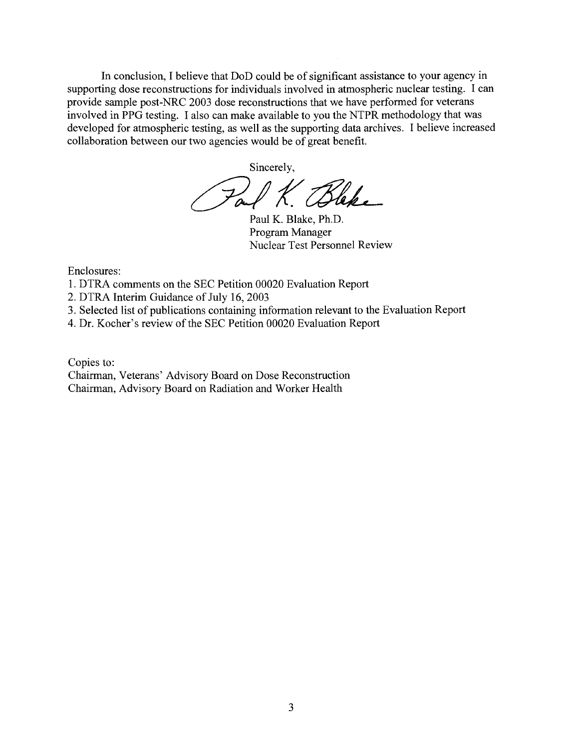In conclusion, I believe that DoD could be of significant assistance to your agency in supporting dose reconstructions for individuals involved in atmospheric nuclear testing. I can provide sample post-NRC 2003 dose reconstructions that we have performed for veterans involved in PPG testing. I also can make available to you the NTPR methodology that was developed for atmospheric testing, as well as the supporting data archives. I believe increased collaboration between our two agencies would be of great benefit.

Sincerely,

K. Bleke

Paul K. Blake, Ph.D. Program Manager Nuclear Test Personnel Review

Enclosures:

- 1. DTRA comments on the SEC Petition 00020 Evaluation Report
- 2. DTRA Interim Guidance of July 16,2003
- 3. Selected list of publications containing information relevant to the Evaluation Report
- 4. Dr. Kocher's review of the SEC Petition 00020 Evaluation Report

Copies to:

Chairman, Veterans' Advisory Board on Dose Reconstruction Chairman, Advisory Board on Radiation and Worker Health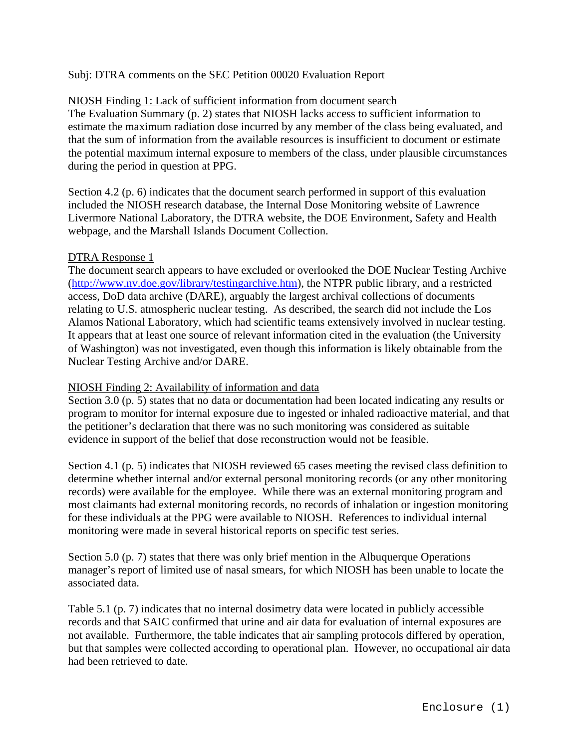# Subj: DTRA comments on the SEC Petition 00020 Evaluation Report

## NIOSH Finding 1: Lack of sufficient information from document search

The Evaluation Summary (p. 2) states that NIOSH lacks access to sufficient information to estimate the maximum radiation dose incurred by any member of the class being evaluated, and that the sum of information from the available resources is insufficient to document or estimate the potential maximum internal exposure to members of the class, under plausible circumstances during the period in question at PPG.

Section 4.2 (p. 6) indicates that the document search performed in support of this evaluation included the NIOSH research database, the Internal Dose Monitoring website of Lawrence Livermore National Laboratory, the DTRA website, the DOE Environment, Safety and Health webpage, and the Marshall Islands Document Collection.

### DTRA Response 1

The document search appears to have excluded or overlooked the DOE Nuclear Testing Archive ([http://www.nv.doe.gov/library/testingarchive.htm\)](http://www.nv.doe.gov/library/testingarchive.htm), the NTPR public library, and a restricted access, DoD data archive (DARE), arguably the largest archival collections of documents relating to U.S. atmospheric nuclear testing. As described, the search did not include the Los Alamos National Laboratory, which had scientific teams extensively involved in nuclear testing. It appears that at least one source of relevant information cited in the evaluation (the University of Washington) was not investigated, even though this information is likely obtainable from the Nuclear Testing Archive and/or DARE.

## NIOSH Finding 2: Availability of information and data

Section 3.0 (p. 5) states that no data or documentation had been located indicating any results or program to monitor for internal exposure due to ingested or inhaled radioactive material, and that the petitioner's declaration that there was no such monitoring was considered as suitable evidence in support of the belief that dose reconstruction would not be feasible.

Section 4.1 (p. 5) indicates that NIOSH reviewed 65 cases meeting the revised class definition to determine whether internal and/or external personal monitoring records (or any other monitoring records) were available for the employee. While there was an external monitoring program and most claimants had external monitoring records, no records of inhalation or ingestion monitoring for these individuals at the PPG were available to NIOSH. References to individual internal monitoring were made in several historical reports on specific test series.

Section 5.0 (p. 7) states that there was only brief mention in the Albuquerque Operations manager's report of limited use of nasal smears, for which NIOSH has been unable to locate the associated data.

Table 5.1 (p. 7) indicates that no internal dosimetry data were located in publicly accessible records and that SAIC confirmed that urine and air data for evaluation of internal exposures are not available. Furthermore, the table indicates that air sampling protocols differed by operation, but that samples were collected according to operational plan. However, no occupational air data had been retrieved to date.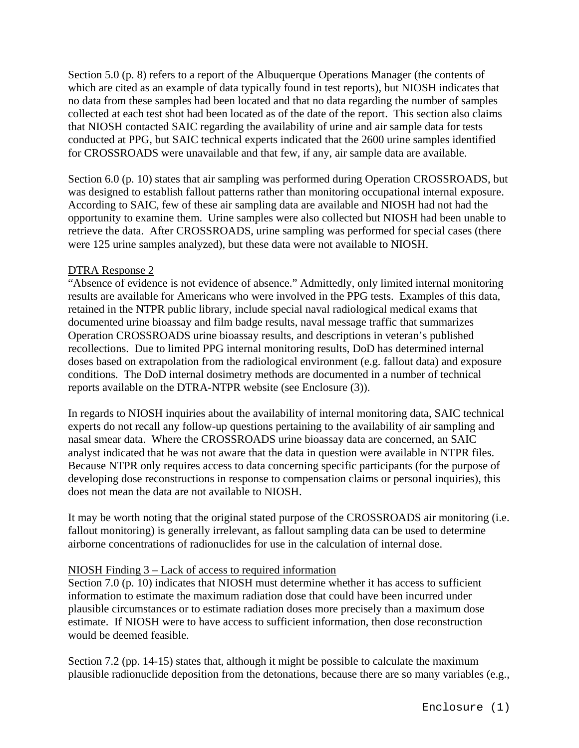Section 5.0 (p. 8) refers to a report of the Albuquerque Operations Manager (the contents of which are cited as an example of data typically found in test reports), but NIOSH indicates that no data from these samples had been located and that no data regarding the number of samples collected at each test shot had been located as of the date of the report. This section also claims that NIOSH contacted SAIC regarding the availability of urine and air sample data for tests conducted at PPG, but SAIC technical experts indicated that the 2600 urine samples identified for CROSSROADS were unavailable and that few, if any, air sample data are available.

Section 6.0 (p. 10) states that air sampling was performed during Operation CROSSROADS, but was designed to establish fallout patterns rather than monitoring occupational internal exposure. According to SAIC, few of these air sampling data are available and NIOSH had not had the opportunity to examine them. Urine samples were also collected but NIOSH had been unable to retrieve the data. After CROSSROADS, urine sampling was performed for special cases (there were 125 urine samples analyzed), but these data were not available to NIOSH.

### DTRA Response 2

"Absence of evidence is not evidence of absence." Admittedly, only limited internal monitoring results are available for Americans who were involved in the PPG tests. Examples of this data, retained in the NTPR public library, include special naval radiological medical exams that documented urine bioassay and film badge results, naval message traffic that summarizes Operation CROSSROADS urine bioassay results, and descriptions in veteran's published recollections. Due to limited PPG internal monitoring results, DoD has determined internal doses based on extrapolation from the radiological environment (e.g. fallout data) and exposure conditions. The DoD internal dosimetry methods are documented in a number of technical reports available on the DTRA-NTPR website (see Enclosure (3)).

In regards to NIOSH inquiries about the availability of internal monitoring data, SAIC technical experts do not recall any follow-up questions pertaining to the availability of air sampling and nasal smear data. Where the CROSSROADS urine bioassay data are concerned, an SAIC analyst indicated that he was not aware that the data in question were available in NTPR files. Because NTPR only requires access to data concerning specific participants (for the purpose of developing dose reconstructions in response to compensation claims or personal inquiries), this does not mean the data are not available to NIOSH.

It may be worth noting that the original stated purpose of the CROSSROADS air monitoring (i.e. fallout monitoring) is generally irrelevant, as fallout sampling data can be used to determine airborne concentrations of radionuclides for use in the calculation of internal dose.

#### NIOSH Finding 3 – Lack of access to required information

Section 7.0 (p. 10) indicates that NIOSH must determine whether it has access to sufficient information to estimate the maximum radiation dose that could have been incurred under plausible circumstances or to estimate radiation doses more precisely than a maximum dose estimate. If NIOSH were to have access to sufficient information, then dose reconstruction would be deemed feasible.

Section 7.2 (pp. 14-15) states that, although it might be possible to calculate the maximum plausible radionuclide deposition from the detonations, because there are so many variables (e.g.,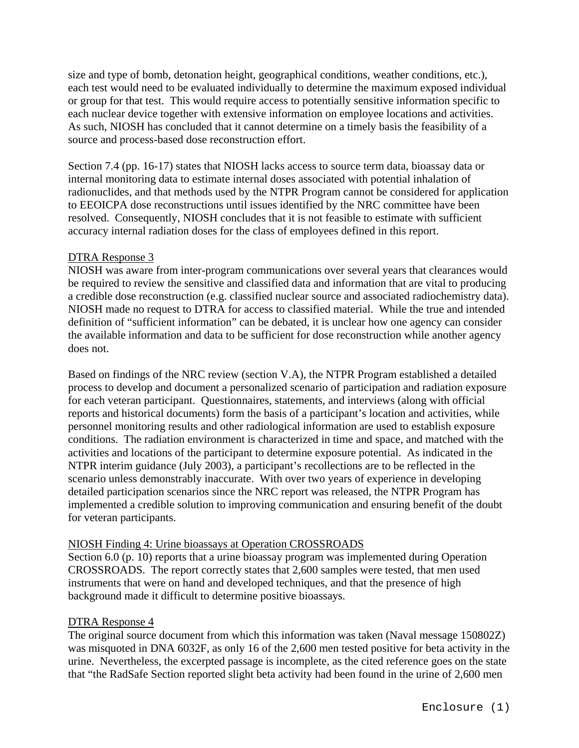size and type of bomb, detonation height, geographical conditions, weather conditions, etc.), each test would need to be evaluated individually to determine the maximum exposed individual or group for that test. This would require access to potentially sensitive information specific to each nuclear device together with extensive information on employee locations and activities. As such, NIOSH has concluded that it cannot determine on a timely basis the feasibility of a source and process-based dose reconstruction effort.

Section 7.4 (pp. 16-17) states that NIOSH lacks access to source term data, bioassay data or internal monitoring data to estimate internal doses associated with potential inhalation of radionuclides, and that methods used by the NTPR Program cannot be considered for application to EEOICPA dose reconstructions until issues identified by the NRC committee have been resolved. Consequently, NIOSH concludes that it is not feasible to estimate with sufficient accuracy internal radiation doses for the class of employees defined in this report.

## DTRA Response 3

NIOSH was aware from inter-program communications over several years that clearances would be required to review the sensitive and classified data and information that are vital to producing a credible dose reconstruction (e.g. classified nuclear source and associated radiochemistry data). NIOSH made no request to DTRA for access to classified material. While the true and intended definition of "sufficient information" can be debated, it is unclear how one agency can consider the available information and data to be sufficient for dose reconstruction while another agency does not.

Based on findings of the NRC review (section V.A), the NTPR Program established a detailed process to develop and document a personalized scenario of participation and radiation exposure for each veteran participant. Questionnaires, statements, and interviews (along with official reports and historical documents) form the basis of a participant's location and activities, while personnel monitoring results and other radiological information are used to establish exposure conditions. The radiation environment is characterized in time and space, and matched with the activities and locations of the participant to determine exposure potential. As indicated in the NTPR interim guidance (July 2003), a participant's recollections are to be reflected in the scenario unless demonstrably inaccurate. With over two years of experience in developing detailed participation scenarios since the NRC report was released, the NTPR Program has implemented a credible solution to improving communication and ensuring benefit of the doubt for veteran participants.

#### NIOSH Finding 4: Urine bioassays at Operation CROSSROADS

Section 6.0 (p. 10) reports that a urine bioassay program was implemented during Operation CROSSROADS. The report correctly states that 2,600 samples were tested, that men used instruments that were on hand and developed techniques, and that the presence of high background made it difficult to determine positive bioassays.

## DTRA Response 4

The original source document from which this information was taken (Naval message 150802Z) was misquoted in DNA 6032F, as only 16 of the 2,600 men tested positive for beta activity in the urine. Nevertheless, the excerpted passage is incomplete, as the cited reference goes on the state that "the RadSafe Section reported slight beta activity had been found in the urine of 2,600 men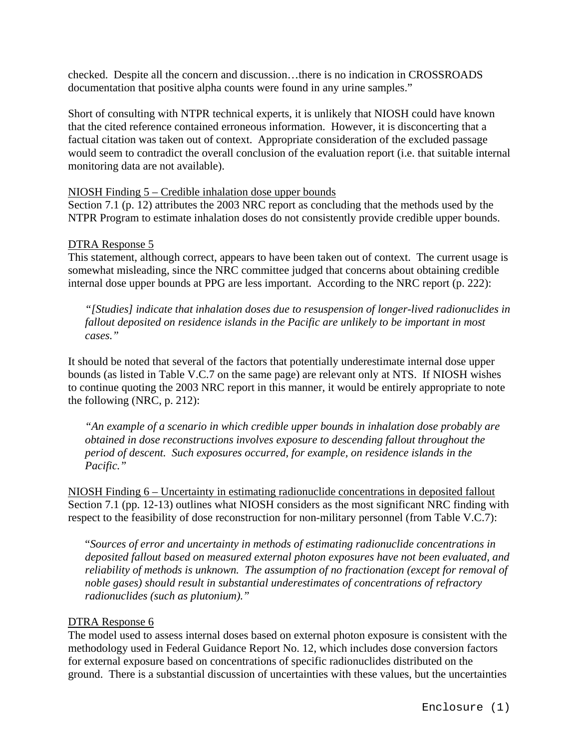checked. Despite all the concern and discussion…there is no indication in CROSSROADS documentation that positive alpha counts were found in any urine samples."

Short of consulting with NTPR technical experts, it is unlikely that NIOSH could have known that the cited reference contained erroneous information. However, it is disconcerting that a factual citation was taken out of context. Appropriate consideration of the excluded passage would seem to contradict the overall conclusion of the evaluation report (i.e. that suitable internal monitoring data are not available).

# NIOSH Finding 5 – Credible inhalation dose upper bounds

Section 7.1 (p. 12) attributes the 2003 NRC report as concluding that the methods used by the NTPR Program to estimate inhalation doses do not consistently provide credible upper bounds.

# DTRA Response 5

This statement, although correct, appears to have been taken out of context. The current usage is somewhat misleading, since the NRC committee judged that concerns about obtaining credible internal dose upper bounds at PPG are less important. According to the NRC report (p. 222):

*"[Studies] indicate that inhalation doses due to resuspension of longer-lived radionuclides in fallout deposited on residence islands in the Pacific are unlikely to be important in most cases."* 

It should be noted that several of the factors that potentially underestimate internal dose upper bounds (as listed in Table V.C.7 on the same page) are relevant only at NTS. If NIOSH wishes to continue quoting the 2003 NRC report in this manner, it would be entirely appropriate to note the following (NRC, p. 212):

*"An example of a scenario in which credible upper bounds in inhalation dose probably are obtained in dose reconstructions involves exposure to descending fallout throughout the period of descent. Such exposures occurred, for example, on residence islands in the Pacific."* 

NIOSH Finding 6 – Uncertainty in estimating radionuclide concentrations in deposited fallout Section 7.1 (pp. 12-13) outlines what NIOSH considers as the most significant NRC finding with respect to the feasibility of dose reconstruction for non-military personnel (from Table V.C.7):

"*Sources of error and uncertainty in methods of estimating radionuclide concentrations in deposited fallout based on measured external photon exposures have not been evaluated, and reliability of methods is unknown. The assumption of no fractionation (except for removal of noble gases) should result in substantial underestimates of concentrations of refractory radionuclides (such as plutonium)."* 

# DTRA Response 6

The model used to assess internal doses based on external photon exposure is consistent with the methodology used in Federal Guidance Report No. 12, which includes dose conversion factors for external exposure based on concentrations of specific radionuclides distributed on the ground. There is a substantial discussion of uncertainties with these values, but the uncertainties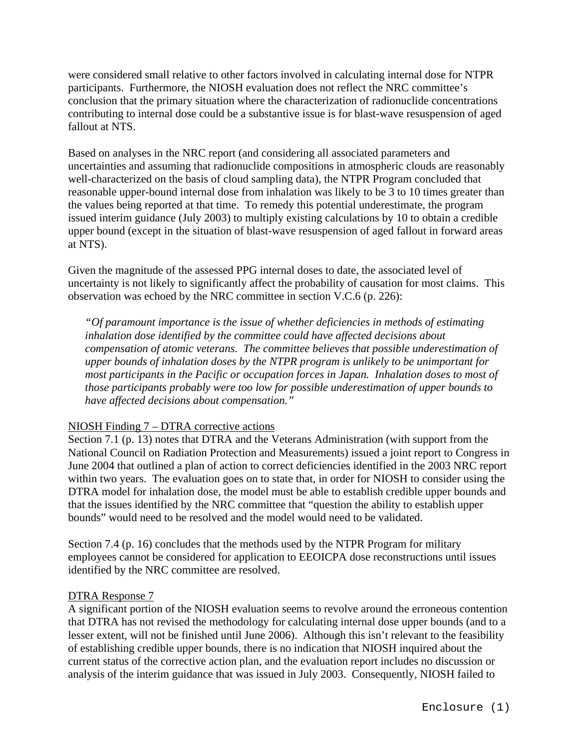were considered small relative to other factors involved in calculating internal dose for NTPR participants. Furthermore, the NIOSH evaluation does not reflect the NRC committee's conclusion that the primary situation where the characterization of radionuclide concentrations contributing to internal dose could be a substantive issue is for blast-wave resuspension of aged fallout at NTS.

Based on analyses in the NRC report (and considering all associated parameters and uncertainties and assuming that radionuclide compositions in atmospheric clouds are reasonably well-characterized on the basis of cloud sampling data), the NTPR Program concluded that reasonable upper-bound internal dose from inhalation was likely to be 3 to 10 times greater than the values being reported at that time. To remedy this potential underestimate, the program issued interim guidance (July 2003) to multiply existing calculations by 10 to obtain a credible upper bound (except in the situation of blast-wave resuspension of aged fallout in forward areas at NTS).

Given the magnitude of the assessed PPG internal doses to date, the associated level of uncertainty is not likely to significantly affect the probability of causation for most claims. This observation was echoed by the NRC committee in section V.C.6 (p. 226):

*"Of paramount importance is the issue of whether deficiencies in methods of estimating inhalation dose identified by the committee could have affected decisions about compensation of atomic veterans. The committee believes that possible underestimation of upper bounds of inhalation doses by the NTPR program is unlikely to be unimportant for most participants in the Pacific or occupation forces in Japan. Inhalation doses to most of those participants probably were too low for possible underestimation of upper bounds to have affected decisions about compensation."* 

# NIOSH Finding 7 – DTRA corrective actions

Section 7.1 (p. 13) notes that DTRA and the Veterans Administration (with support from the National Council on Radiation Protection and Measurements) issued a joint report to Congress in June 2004 that outlined a plan of action to correct deficiencies identified in the 2003 NRC report within two years. The evaluation goes on to state that, in order for NIOSH to consider using the DTRA model for inhalation dose, the model must be able to establish credible upper bounds and that the issues identified by the NRC committee that "question the ability to establish upper bounds" would need to be resolved and the model would need to be validated.

Section 7.4 (p. 16) concludes that the methods used by the NTPR Program for military employees cannot be considered for application to EEOICPA dose reconstructions until issues identified by the NRC committee are resolved.

## DTRA Response 7

A significant portion of the NIOSH evaluation seems to revolve around the erroneous contention that DTRA has not revised the methodology for calculating internal dose upper bounds (and to a lesser extent, will not be finished until June 2006). Although this isn't relevant to the feasibility of establishing credible upper bounds, there is no indication that NIOSH inquired about the current status of the corrective action plan, and the evaluation report includes no discussion or analysis of the interim guidance that was issued in July 2003. Consequently, NIOSH failed to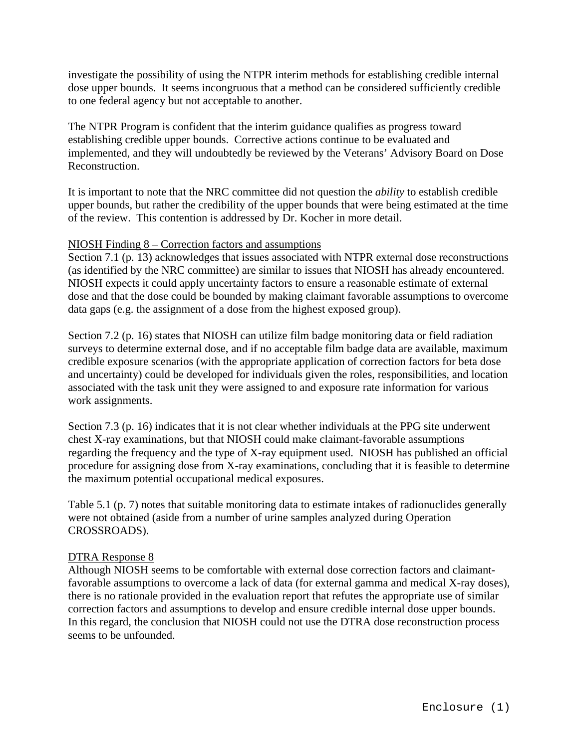investigate the possibility of using the NTPR interim methods for establishing credible internal dose upper bounds. It seems incongruous that a method can be considered sufficiently credible to one federal agency but not acceptable to another.

The NTPR Program is confident that the interim guidance qualifies as progress toward establishing credible upper bounds. Corrective actions continue to be evaluated and implemented, and they will undoubtedly be reviewed by the Veterans' Advisory Board on Dose Reconstruction.

It is important to note that the NRC committee did not question the *ability* to establish credible upper bounds, but rather the credibility of the upper bounds that were being estimated at the time of the review. This contention is addressed by Dr. Kocher in more detail.

## NIOSH Finding 8 – Correction factors and assumptions

Section 7.1 (p. 13) acknowledges that issues associated with NTPR external dose reconstructions (as identified by the NRC committee) are similar to issues that NIOSH has already encountered. NIOSH expects it could apply uncertainty factors to ensure a reasonable estimate of external dose and that the dose could be bounded by making claimant favorable assumptions to overcome data gaps (e.g. the assignment of a dose from the highest exposed group).

Section 7.2 (p. 16) states that NIOSH can utilize film badge monitoring data or field radiation surveys to determine external dose, and if no acceptable film badge data are available, maximum credible exposure scenarios (with the appropriate application of correction factors for beta dose and uncertainty) could be developed for individuals given the roles, responsibilities, and location associated with the task unit they were assigned to and exposure rate information for various work assignments.

Section 7.3 (p. 16) indicates that it is not clear whether individuals at the PPG site underwent chest X-ray examinations, but that NIOSH could make claimant-favorable assumptions regarding the frequency and the type of X-ray equipment used. NIOSH has published an official procedure for assigning dose from X-ray examinations, concluding that it is feasible to determine the maximum potential occupational medical exposures.

Table 5.1 (p. 7) notes that suitable monitoring data to estimate intakes of radionuclides generally were not obtained (aside from a number of urine samples analyzed during Operation CROSSROADS).

## DTRA Response 8

Although NIOSH seems to be comfortable with external dose correction factors and claimantfavorable assumptions to overcome a lack of data (for external gamma and medical X-ray doses), there is no rationale provided in the evaluation report that refutes the appropriate use of similar correction factors and assumptions to develop and ensure credible internal dose upper bounds. In this regard, the conclusion that NIOSH could not use the DTRA dose reconstruction process seems to be unfounded.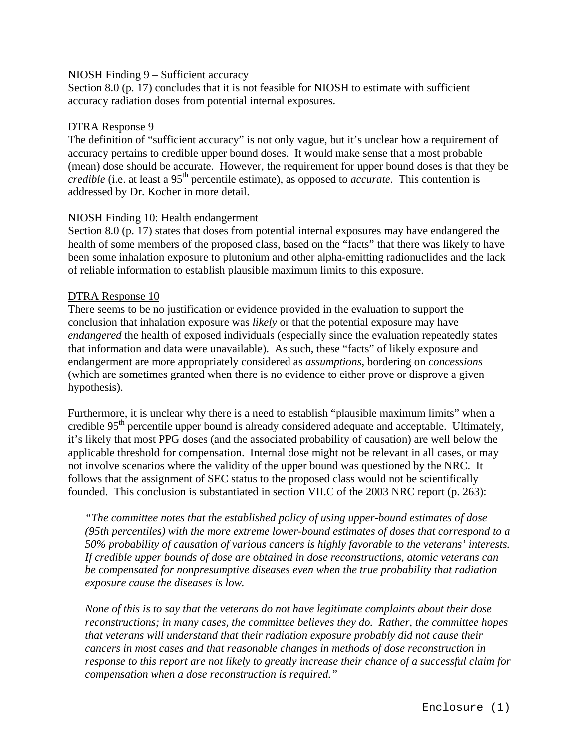# NIOSH Finding 9 – Sufficient accuracy

Section 8.0 (p. 17) concludes that it is not feasible for NIOSH to estimate with sufficient accuracy radiation doses from potential internal exposures.

# DTRA Response 9

The definition of "sufficient accuracy" is not only vague, but it's unclear how a requirement of accuracy pertains to credible upper bound doses. It would make sense that a most probable (mean) dose should be accurate. However, the requirement for upper bound doses is that they be *credible* (i.e. at least a 95<sup>th</sup> percentile estimate), as opposed to *accurate*. This contention is addressed by Dr. Kocher in more detail.

# NIOSH Finding 10: Health endangerment

Section 8.0 (p. 17) states that doses from potential internal exposures may have endangered the health of some members of the proposed class, based on the "facts" that there was likely to have been some inhalation exposure to plutonium and other alpha-emitting radionuclides and the lack of reliable information to establish plausible maximum limits to this exposure.

# DTRA Response 10

There seems to be no justification or evidence provided in the evaluation to support the conclusion that inhalation exposure was *likely* or that the potential exposure may have *endangered* the health of exposed individuals (especially since the evaluation repeatedly states that information and data were unavailable). As such, these "facts" of likely exposure and endangerment are more appropriately considered as *assumptions*, bordering on *concessions*  (which are sometimes granted when there is no evidence to either prove or disprove a given hypothesis).

Furthermore, it is unclear why there is a need to establish "plausible maximum limits" when a credible  $95<sup>th</sup>$  percentile upper bound is already considered adequate and acceptable. Ultimately, it's likely that most PPG doses (and the associated probability of causation) are well below the applicable threshold for compensation. Internal dose might not be relevant in all cases, or may not involve scenarios where the validity of the upper bound was questioned by the NRC. It follows that the assignment of SEC status to the proposed class would not be scientifically founded. This conclusion is substantiated in section VII.C of the 2003 NRC report (p. 263):

*"The committee notes that the established policy of using upper-bound estimates of dose (95th percentiles) with the more extreme lower-bound estimates of doses that correspond to a 50% probability of causation of various cancers is highly favorable to the veterans' interests. If credible upper bounds of dose are obtained in dose reconstructions, atomic veterans can be compensated for nonpresumptive diseases even when the true probability that radiation exposure cause the diseases is low.* 

*None of this is to say that the veterans do not have legitimate complaints about their dose reconstructions; in many cases, the committee believes they do. Rather, the committee hopes that veterans will understand that their radiation exposure probably did not cause their cancers in most cases and that reasonable changes in methods of dose reconstruction in response to this report are not likely to greatly increase their chance of a successful claim for compensation when a dose reconstruction is required."*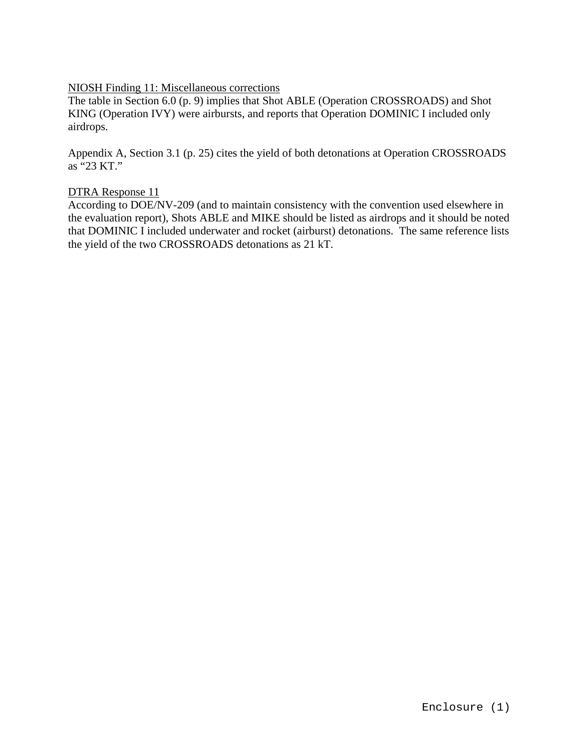# NIOSH Finding 11: Miscellaneous corrections

The table in Section 6.0 (p. 9) implies that Shot ABLE (Operation CROSSROADS) and Shot KING (Operation IVY) were airbursts, and reports that Operation DOMINIC I included only airdrops.

Appendix A, Section 3.1 (p. 25) cites the yield of both detonations at Operation CROSSROADS as "23 KT."

## DTRA Response 11

According to DOE/NV-209 (and to maintain consistency with the convention used elsewhere in the evaluation report), Shots ABLE and MIKE should be listed as airdrops and it should be noted that DOMINIC I included underwater and rocket (airburst) detonations. The same reference lists the yield of the two CROSSROADS detonations as 21 kT.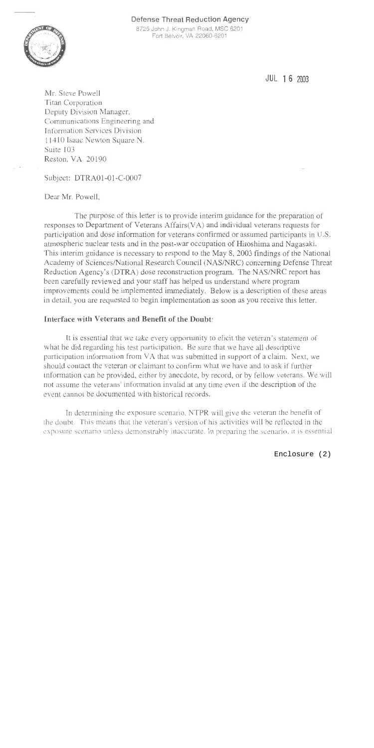# Defense Threat Reduction Agency



8725 John J. Kingman Road, MSC 6201 Fort Belvoir, VA 22060-6201

JUL 16 2003

Mr. Steve Powell **Titan Corporation** Deputy Division Manager, Communications Engineering and Information Services Division 11410 Isaac Newton Square N. Suite 103 Reston, VA 20190

Subject: DTRA01-01-C-0007

Dear Mr. Powell.

The purpose of this letter is to provide interim guidance for the preparation of responses to Department of Veterans Affairs(VA) and individual veterans requests for participation and dose information for veterans confirmed or assumed participants in U.S. atmospheric nuclear tests and in the post-war occupation of Hiroshima and Nagasaki. This interim guidance is necessary to respond to the May 8, 2003 findings of the National Academy of Sciences/National Research Council (NAS/NRC) concerning Defense Threat Reduction Agency's (DTRA) dose reconstruction program. The NAS/NRC report has been carefully reviewed and your staff has helped us understand where program improvements could be implemented immediately. Below is a description of these areas in detail, you are requested to begin implementation as soon as you receive this letter.

# Interface with Veterans and Benefit of the Doubt:

It is essential that we take every opportunity to elicit the veteran's statement of what he did regarding his test participation. Be sure that we have all descriptive participation information from VA that was submitted in support of a claim. Next, we should contact the veteran or claimant to confirm what we have and to ask if further information can be provided, either by anecdote, by record, or by fellow veterans. We will not assume the veterans' information invalid at any time even if the description of the event cannot be documented with historical records.

In determining the exposure scenario, NTPR will give the veteran the benefit of the doubt. This means that the veteran's version of his activities will be reflected in the exposure scenario unless demonstrably inaccurate. In preparing the scenario, it is essential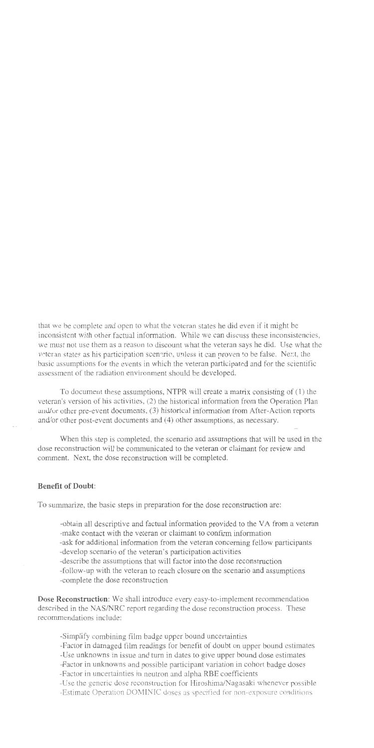that we be complete and open to what the veteran states he did even if it might be inconsistent with other factual information. While we can discuss these inconsistencies, we must not use them as a reason to discount what the veteran says he did. Use what the veteran states as his participation scenario, unless it can proven to be false. Next, the basic assumptions for the events in which the veteran participated and for the scientific assessment of the radiation environment should be developed.

To document these assumptions, NTPR will create a matrix consisting of (1) the veteran's version of his activities, (2) the historical information from the Operation Plan and/or other pre-event documents, (3) historical information from After-Action reports and/or other post-event documents and (4) other assumptions, as necessary.

When this step is completed, the scenario and assumptions that will be used in the dose reconstruction will be communicated to the veteran or claimant for review and comment. Next, the dose reconstruction will be completed.

# **Benefit of Doubt:**

To summarize, the basic steps in preparation for the dose reconstruction are:

-obtain all descriptive and factual information provided to the VA from a veteran -make contact with the veteran or claimant to confirm information -ask for additional information from the veteran concerning fellow participants

-develop scenario of the veteran's participation activities

-describe the assumptions that will factor into the dose reconstruction

-follow-up with the veteran to reach closure on the scenario and assumptions

-complete the dose reconstruction

Dose Reconstruction: We shall introduce every easy-to-implement recommendation described in the NAS/NRC report regarding the dose reconstruction process. These recommendations include:

-Simplify combining film badge upper bound uncertainties

-Factor in damaged film readings for benefit of doubt on upper bound estimates

-Use unknowns in issue and turn in dates to give upper bound dose estimates

-Factor in unknowns and possible participant variation in cohort badge doses

-Factor in uncertainties in neutron and alpha RBE coefficients

-Use the generic dose reconstruction for Hiroshima/Nagasaki whenever possible

-Estimate Operation DOMINIC doses as specified for non-exposure conditions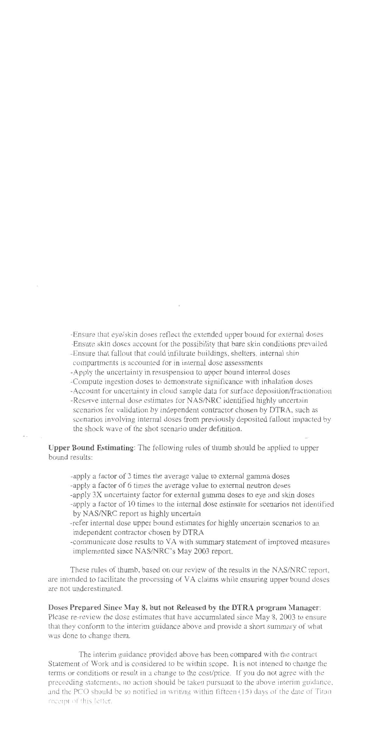-Ensure that eye/skin doses reflect the extended upper bound for external doses

- -Ensure skin doses account for the possibility that bare skin conditions prevailed
- -Ensure that fallout that could infiltrate buildings, shelters, internal shin compartments is accounted for in internal dose assessments
- -Apply the uncertainty in resuspension to upper bound internal doses
- -Compute ingestion doses to demonstrate significance with inhalation doses
- -Account for uncertainty in cloud sample data for surface deposition/fractionation
- -Reserve internal dose estimates for NAS/NRC identified highly uncertain scenarios for validation by independent contractor chosen by DTRA, such as scenarios involving internal doses from previously deposited fallout impacted by the shock wave of the shot scenario under definition.

**Upper Bound Estimating:** The following rules of thumb should be applied to upper bound results:

-apply a factor of 3 times the average value to external gamma doses -apply a factor of 6 times the average value to external neutron doses -apply 3X uncertainty factor for external gamma doses to eye and skin doses -apply a factor of 10 times to the internal dose estimate for scenarios not identified by NAS/NRC report as highly uncertain

- -refer internal dose upper bound estimates for highly uncertain scenarios to an independent contractor chosen by DTRA
- -communicate dose results to VA with summary statement of improved measures implemented since NAS/NRC's May 2003 report.

These rules of thumb, based on our review of the results in the NAS/NRC report, are intended to facilitate the processing of VA claims while ensuring upper bound doses are not underestimated.

Doses Prepared Since May 8, but not Released by the DTRA program Manager: Please re-review the dose estimates that have accumulated since May 8, 2003 to ensure that they conform to the interim guidance above and provide a short summary of what was done to change them.

The interim guidance provided above has been compared with the contract Statement of Work and is considered to be within scope. It is not intened to change the terms or conditions or result in a change to the cost/price. If you do not agree with the preceeding statements, no action should be taken pursuant to the above interim guidance, and the PCO should be so notified in writing within fifteen (15) days of the date of Titan receipt of this letter.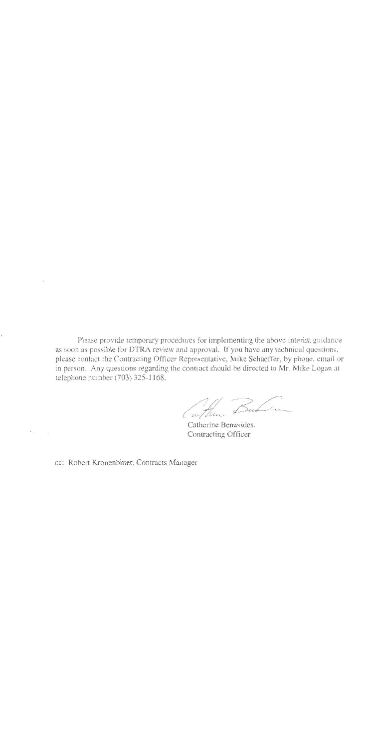Please provide temporary procedures for implementing the above interim guidance as soon as possible for DTRA review and approval. If you have any technical questions, please contact the Contracting Officer Representative, Mike Schaeffer, by phone, email or in person. Any questions regarding the contract should be directed to Mr. Mike Logan at telephone number (703) 325-1168.

Cather But

Catherine Benavides. Contracting Officer

cc: Robert Kronenbitter, Contracts Manager

e <sub>m</sub>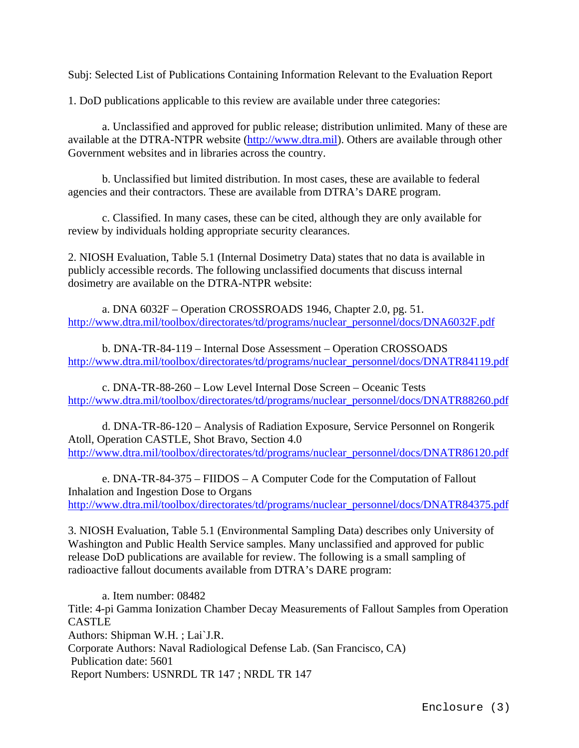Subj: Selected List of Publications Containing Information Relevant to the Evaluation Report

1. DoD publications applicable to this review are available under three categories:

a. Unclassified and approved for public release; distribution unlimited. Many of these are available at the DTRA-NTPR website ([http://www.dtra.mil\)](http://www.dtra.mil/). Others are available through other Government websites and in libraries across the country.

b. Unclassified but limited distribution. In most cases, these are available to federal agencies and their contractors. These are available from DTRA's DARE program.

c. Classified. In many cases, these can be cited, although they are only available for review by individuals holding appropriate security clearances.

2. NIOSH Evaluation, Table 5.1 (Internal Dosimetry Data) states that no data is available in publicly accessible records. The following unclassified documents that discuss internal dosimetry are available on the DTRA-NTPR website:

a. DNA 6032F – Operation CROSSROADS 1946, Chapter 2.0, pg. 51. [http://www.dtra.mil/toolbox/directorates/td/programs/nuclear\\_personnel/docs/DNA6032F.pdf](http://www.dtra.mil/toolbox/directorates/td/programs/nuclear_personnel/docs/DNA6032F.pdf)

b. DNA-TR-84-119 – Internal Dose Assessment – Operation CROSSOADS [http://www.dtra.mil/toolbox/directorates/td/programs/nuclear\\_personnel/docs/DNATR84119.pdf](http://www.dtra.mil/toolbox/directorates/td/programs/nuclear_personnel/docs/DNATR84119.pdf)

c. DNA-TR-88-260 – Low Level Internal Dose Screen – Oceanic Tests [http://www.dtra.mil/toolbox/directorates/td/programs/nuclear\\_personnel/docs/DNATR88260.pdf](http://www.dtra.mil/toolbox/directorates/td/programs/nuclear_personnel/docs/DNATR88260.pdf)

d. DNA-TR-86-120 – Analysis of Radiation Exposure, Service Personnel on Rongerik Atoll, Operation CASTLE, Shot Bravo, Section 4.0 [http://www.dtra.mil/toolbox/directorates/td/programs/nuclear\\_personnel/docs/DNATR86120.pdf](http://www.dtra.mil/toolbox/directorates/td/programs/nuclear_personnel/docs/DNATR86120.pdf)

e. DNA-TR-84-375 – FIIDOS – A Computer Code for the Computation of Fallout Inhalation and Ingestion Dose to Organs [http://www.dtra.mil/toolbox/directorates/td/programs/nuclear\\_personnel/docs/DNATR84375.pdf](http://www.dtra.mil/toolbox/directorates/td/programs/nuclear_personnel/docs/DNATR84375.pdf)

3. NIOSH Evaluation, Table 5.1 (Environmental Sampling Data) describes only University of Washington and Public Health Service samples. Many unclassified and approved for public release DoD publications are available for review. The following is a small sampling of radioactive fallout documents available from DTRA's DARE program:

a. Item number: 08482 Title: 4-pi Gamma Ionization Chamber Decay Measurements of Fallout Samples from Operation CASTLE Authors: Shipman W.H. ; Lai`J.R. Corporate Authors: Naval Radiological Defense Lab. (San Francisco, CA) Publication date: 5601 Report Numbers: USNRDL TR 147 ; NRDL TR 147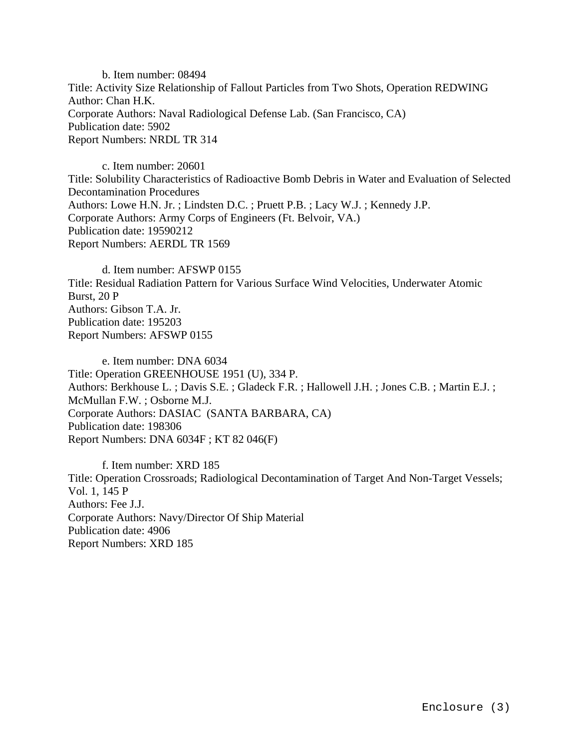b. Item number: 08494 Title: Activity Size Relationship of Fallout Particles from Two Shots, Operation REDWING Author: Chan H.K. Corporate Authors: Naval Radiological Defense Lab. (San Francisco, CA) Publication date: 5902 Report Numbers: NRDL TR 314

c. Item number: 20601 Title: Solubility Characteristics of Radioactive Bomb Debris in Water and Evaluation of Selected Decontamination Procedures Authors: Lowe H.N. Jr. ; Lindsten D.C. ; Pruett P.B. ; Lacy W.J. ; Kennedy J.P. Corporate Authors: Army Corps of Engineers (Ft. Belvoir, VA.) Publication date: 19590212 Report Numbers: AERDL TR 1569

d. Item number: AFSWP 0155 Title: Residual Radiation Pattern for Various Surface Wind Velocities, Underwater Atomic Burst, 20 P Authors: Gibson T.A. Jr. Publication date: 195203 Report Numbers: AFSWP 0155

e. Item number: DNA 6034 Title: Operation GREENHOUSE 1951 (U), 334 P. Authors: Berkhouse L. ; Davis S.E. ; Gladeck F.R. ; Hallowell J.H. ; Jones C.B. ; Martin E.J. ; McMullan F.W. ; Osborne M.J. Corporate Authors: DASIAC (SANTA BARBARA, CA) Publication date: 198306 Report Numbers: DNA 6034F ; KT 82 046(F)

f. Item number: XRD 185 Title: Operation Crossroads; Radiological Decontamination of Target And Non-Target Vessels; Vol. 1, 145 P Authors: Fee J.J. Corporate Authors: Navy/Director Of Ship Material Publication date: 4906 Report Numbers: XRD 185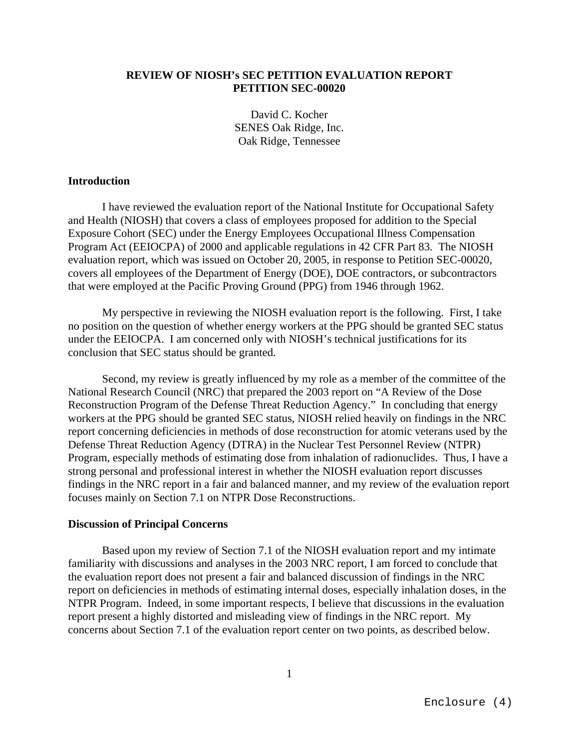## **REVIEW OF NIOSH's SEC PETITION EVALUATION REPORT PETITION SEC-00020**

David C. Kocher SENES Oak Ridge, Inc. Oak Ridge, Tennessee

#### **Introduction**

I have reviewed the evaluation report of the National Institute for Occupational Safety and Health (NIOSH) that covers a class of employees proposed for addition to the Special Exposure Cohort (SEC) under the Energy Employees Occupational Illness Compensation Program Act (EEIOCPA) of 2000 and applicable regulations in 42 CFR Part 83. The NIOSH evaluation report, which was issued on October 20, 2005, in response to Petition SEC-00020, covers all employees of the Department of Energy (DOE), DOE contractors, or subcontractors that were employed at the Pacific Proving Ground (PPG) from 1946 through 1962.

My perspective in reviewing the NIOSH evaluation report is the following. First, I take no position on the question of whether energy workers at the PPG should be granted SEC status under the EEIOCPA. I am concerned only with NIOSH's technical justifications for its conclusion that SEC status should be granted.

Second, my review is greatly influenced by my role as a member of the committee of the National Research Council (NRC) that prepared the 2003 report on "A Review of the Dose Reconstruction Program of the Defense Threat Reduction Agency." In concluding that energy workers at the PPG should be granted SEC status, NIOSH relied heavily on findings in the NRC report concerning deficiencies in methods of dose reconstruction for atomic veterans used by the Defense Threat Reduction Agency (DTRA) in the Nuclear Test Personnel Review (NTPR) Program, especially methods of estimating dose from inhalation of radionuclides. Thus, I have a strong personal and professional interest in whether the NIOSH evaluation report discusses findings in the NRC report in a fair and balanced manner, and my review of the evaluation report focuses mainly on Section 7.1 on NTPR Dose Reconstructions.

#### **Discussion of Principal Concerns**

Based upon my review of Section 7.1 of the NIOSH evaluation report and my intimate familiarity with discussions and analyses in the 2003 NRC report, I am forced to conclude that the evaluation report does not present a fair and balanced discussion of findings in the NRC report on deficiencies in methods of estimating internal doses, especially inhalation doses, in the NTPR Program. Indeed, in some important respects, I believe that discussions in the evaluation report present a highly distorted and misleading view of findings in the NRC report. My concerns about Section 7.1 of the evaluation report center on two points, as described below.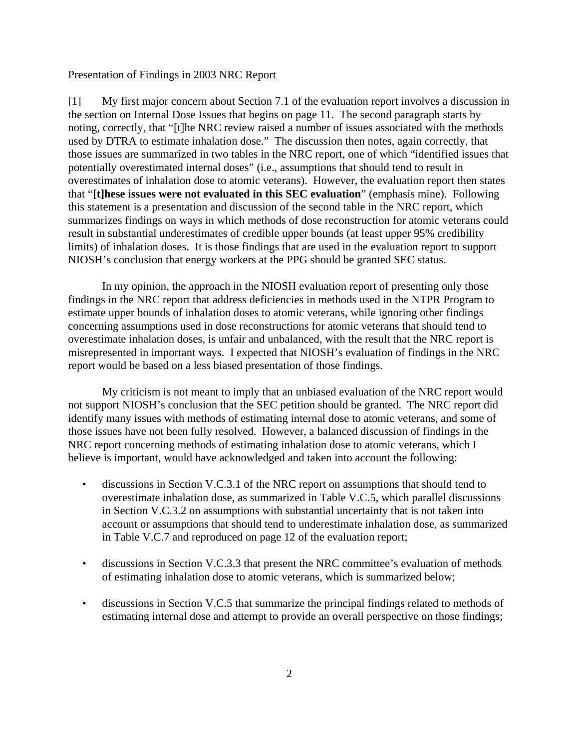#### Presentation of Findings in 2003 NRC Report

[1] My first major concern about Section 7.1 of the evaluation report involves a discussion in the section on Internal Dose Issues that begins on page 11. The second paragraph starts by noting, correctly, that "[t]he NRC review raised a number of issues associated with the methods used by DTRA to estimate inhalation dose." The discussion then notes, again correctly, that those issues are summarized in two tables in the NRC report, one of which "identified issues that potentially overestimated internal doses" (i.e., assumptions that should tend to result in overestimates of inhalation dose to atomic veterans). However, the evaluation report then states that "**[t]hese issues were not evaluated in this SEC evaluation**" (emphasis mine). Following this statement is a presentation and discussion of the second table in the NRC report, which summarizes findings on ways in which methods of dose reconstruction for atomic veterans could result in substantial underestimates of credible upper bounds (at least upper 95% credibility limits) of inhalation doses. It is those findings that are used in the evaluation report to support NIOSH's conclusion that energy workers at the PPG should be granted SEC status.

In my opinion, the approach in the NIOSH evaluation report of presenting only those findings in the NRC report that address deficiencies in methods used in the NTPR Program to estimate upper bounds of inhalation doses to atomic veterans, while ignoring other findings concerning assumptions used in dose reconstructions for atomic veterans that should tend to overestimate inhalation doses, is unfair and unbalanced, with the result that the NRC report is misrepresented in important ways. I expected that NIOSH's evaluation of findings in the NRC report would be based on a less biased presentation of those findings.

My criticism is not meant to imply that an unbiased evaluation of the NRC report would not support NIOSH's conclusion that the SEC petition should be granted. The NRC report did identify many issues with methods of estimating internal dose to atomic veterans, and some of those issues have not been fully resolved. However, a balanced discussion of findings in the NRC report concerning methods of estimating inhalation dose to atomic veterans, which I believe is important, would have acknowledged and taken into account the following:

- discussions in Section V.C.3.1 of the NRC report on assumptions that should tend to overestimate inhalation dose, as summarized in Table V.C.5, which parallel discussions in Section V.C.3.2 on assumptions with substantial uncertainty that is not taken into account or assumptions that should tend to underestimate inhalation dose, as summarized in Table V.C.7 and reproduced on page 12 of the evaluation report;
- discussions in Section V.C.3.3 that present the NRC committee's evaluation of methods of estimating inhalation dose to atomic veterans, which is summarized below;
- discussions in Section V.C.5 that summarize the principal findings related to methods of estimating internal dose and attempt to provide an overall perspective on those findings;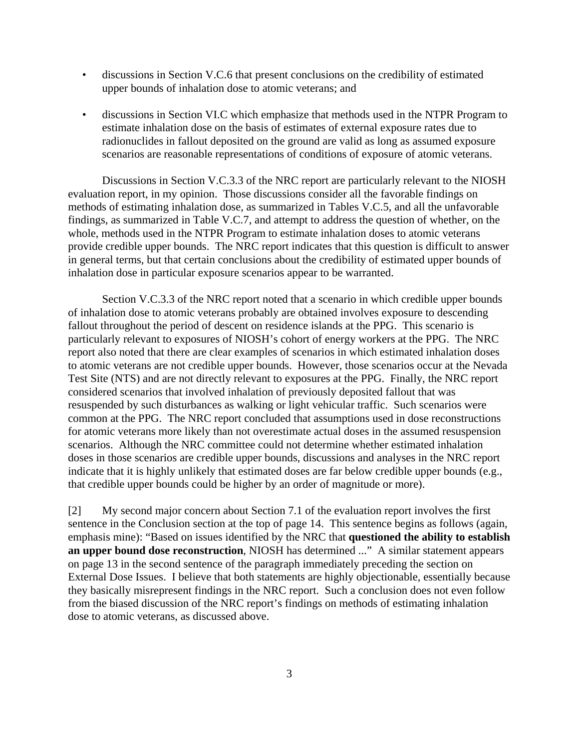- discussions in Section V.C.6 that present conclusions on the credibility of estimated upper bounds of inhalation dose to atomic veterans; and
- discussions in Section VI.C which emphasize that methods used in the NTPR Program to estimate inhalation dose on the basis of estimates of external exposure rates due to radionuclides in fallout deposited on the ground are valid as long as assumed exposure scenarios are reasonable representations of conditions of exposure of atomic veterans.

Discussions in Section V.C.3.3 of the NRC report are particularly relevant to the NIOSH evaluation report, in my opinion. Those discussions consider all the favorable findings on methods of estimating inhalation dose, as summarized in Tables V.C.5, and all the unfavorable findings, as summarized in Table V.C.7, and attempt to address the question of whether, on the whole, methods used in the NTPR Program to estimate inhalation doses to atomic veterans provide credible upper bounds. The NRC report indicates that this question is difficult to answer in general terms, but that certain conclusions about the credibility of estimated upper bounds of inhalation dose in particular exposure scenarios appear to be warranted.

Section V.C.3.3 of the NRC report noted that a scenario in which credible upper bounds of inhalation dose to atomic veterans probably are obtained involves exposure to descending fallout throughout the period of descent on residence islands at the PPG. This scenario is particularly relevant to exposures of NIOSH's cohort of energy workers at the PPG. The NRC report also noted that there are clear examples of scenarios in which estimated inhalation doses to atomic veterans are not credible upper bounds. However, those scenarios occur at the Nevada Test Site (NTS) and are not directly relevant to exposures at the PPG. Finally, the NRC report considered scenarios that involved inhalation of previously deposited fallout that was resuspended by such disturbances as walking or light vehicular traffic. Such scenarios were common at the PPG. The NRC report concluded that assumptions used in dose reconstructions for atomic veterans more likely than not overestimate actual doses in the assumed resuspension scenarios. Although the NRC committee could not determine whether estimated inhalation doses in those scenarios are credible upper bounds, discussions and analyses in the NRC report indicate that it is highly unlikely that estimated doses are far below credible upper bounds (e.g., that credible upper bounds could be higher by an order of magnitude or more).

[2] My second major concern about Section 7.1 of the evaluation report involves the first sentence in the Conclusion section at the top of page 14. This sentence begins as follows (again, emphasis mine): "Based on issues identified by the NRC that **questioned the ability to establish an upper bound dose reconstruction**, NIOSH has determined ..." A similar statement appears on page 13 in the second sentence of the paragraph immediately preceding the section on External Dose Issues. I believe that both statements are highly objectionable, essentially because they basically misrepresent findings in the NRC report. Such a conclusion does not even follow from the biased discussion of the NRC report's findings on methods of estimating inhalation dose to atomic veterans, as discussed above.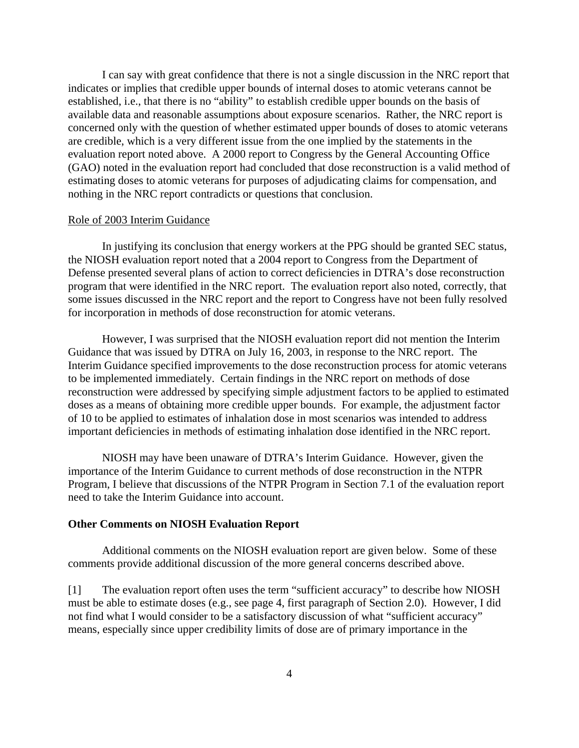I can say with great confidence that there is not a single discussion in the NRC report that indicates or implies that credible upper bounds of internal doses to atomic veterans cannot be established, i.e., that there is no "ability" to establish credible upper bounds on the basis of available data and reasonable assumptions about exposure scenarios. Rather, the NRC report is concerned only with the question of whether estimated upper bounds of doses to atomic veterans are credible, which is a very different issue from the one implied by the statements in the evaluation report noted above. A 2000 report to Congress by the General Accounting Office (GAO) noted in the evaluation report had concluded that dose reconstruction is a valid method of estimating doses to atomic veterans for purposes of adjudicating claims for compensation, and nothing in the NRC report contradicts or questions that conclusion.

#### Role of 2003 Interim Guidance

In justifying its conclusion that energy workers at the PPG should be granted SEC status, the NIOSH evaluation report noted that a 2004 report to Congress from the Department of Defense presented several plans of action to correct deficiencies in DTRA's dose reconstruction program that were identified in the NRC report. The evaluation report also noted, correctly, that some issues discussed in the NRC report and the report to Congress have not been fully resolved for incorporation in methods of dose reconstruction for atomic veterans.

However, I was surprised that the NIOSH evaluation report did not mention the Interim Guidance that was issued by DTRA on July 16, 2003, in response to the NRC report. The Interim Guidance specified improvements to the dose reconstruction process for atomic veterans to be implemented immediately. Certain findings in the NRC report on methods of dose reconstruction were addressed by specifying simple adjustment factors to be applied to estimated doses as a means of obtaining more credible upper bounds. For example, the adjustment factor of 10 to be applied to estimates of inhalation dose in most scenarios was intended to address important deficiencies in methods of estimating inhalation dose identified in the NRC report.

NIOSH may have been unaware of DTRA's Interim Guidance. However, given the importance of the Interim Guidance to current methods of dose reconstruction in the NTPR Program, I believe that discussions of the NTPR Program in Section 7.1 of the evaluation report need to take the Interim Guidance into account.

#### **Other Comments on NIOSH Evaluation Report**

Additional comments on the NIOSH evaluation report are given below. Some of these comments provide additional discussion of the more general concerns described above.

[1] The evaluation report often uses the term "sufficient accuracy" to describe how NIOSH must be able to estimate doses (e.g., see page 4, first paragraph of Section 2.0). However, I did not find what I would consider to be a satisfactory discussion of what "sufficient accuracy" means, especially since upper credibility limits of dose are of primary importance in the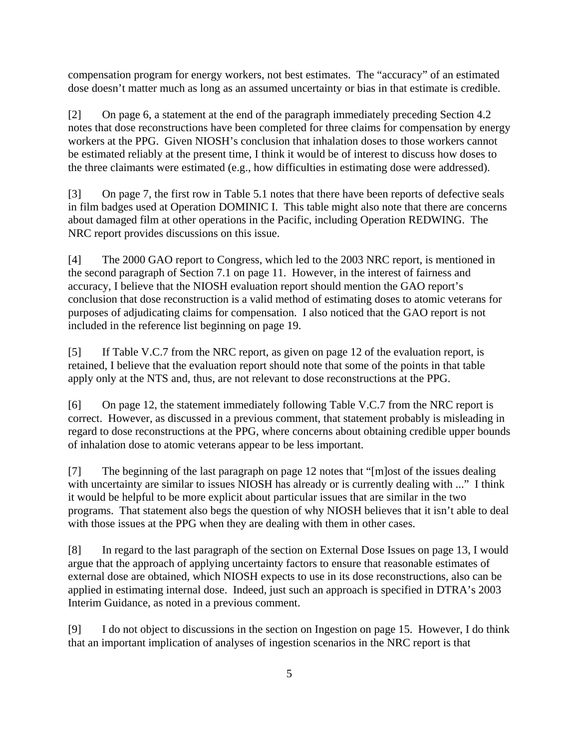compensation program for energy workers, not best estimates. The "accuracy" of an estimated dose doesn't matter much as long as an assumed uncertainty or bias in that estimate is credible.

[2] On page 6, a statement at the end of the paragraph immediately preceding Section 4.2 notes that dose reconstructions have been completed for three claims for compensation by energy workers at the PPG. Given NIOSH's conclusion that inhalation doses to those workers cannot be estimated reliably at the present time, I think it would be of interest to discuss how doses to the three claimants were estimated (e.g., how difficulties in estimating dose were addressed).

[3] On page 7, the first row in Table 5.1 notes that there have been reports of defective seals in film badges used at Operation DOMINIC I. This table might also note that there are concerns about damaged film at other operations in the Pacific, including Operation REDWING. The NRC report provides discussions on this issue.

[4] The 2000 GAO report to Congress, which led to the 2003 NRC report, is mentioned in the second paragraph of Section 7.1 on page 11. However, in the interest of fairness and accuracy, I believe that the NIOSH evaluation report should mention the GAO report's conclusion that dose reconstruction is a valid method of estimating doses to atomic veterans for purposes of adjudicating claims for compensation. I also noticed that the GAO report is not included in the reference list beginning on page 19.

[5] If Table V.C.7 from the NRC report, as given on page 12 of the evaluation report, is retained, I believe that the evaluation report should note that some of the points in that table apply only at the NTS and, thus, are not relevant to dose reconstructions at the PPG.

[6] On page 12, the statement immediately following Table V.C.7 from the NRC report is correct. However, as discussed in a previous comment, that statement probably is misleading in regard to dose reconstructions at the PPG, where concerns about obtaining credible upper bounds of inhalation dose to atomic veterans appear to be less important.

[7] The beginning of the last paragraph on page 12 notes that "[m]ost of the issues dealing with uncertainty are similar to issues NIOSH has already or is currently dealing with ..." I think it would be helpful to be more explicit about particular issues that are similar in the two programs. That statement also begs the question of why NIOSH believes that it isn't able to deal with those issues at the PPG when they are dealing with them in other cases.

[8] In regard to the last paragraph of the section on External Dose Issues on page 13, I would argue that the approach of applying uncertainty factors to ensure that reasonable estimates of external dose are obtained, which NIOSH expects to use in its dose reconstructions, also can be applied in estimating internal dose. Indeed, just such an approach is specified in DTRA's 2003 Interim Guidance, as noted in a previous comment.

[9] I do not object to discussions in the section on Ingestion on page 15. However, I do think that an important implication of analyses of ingestion scenarios in the NRC report is that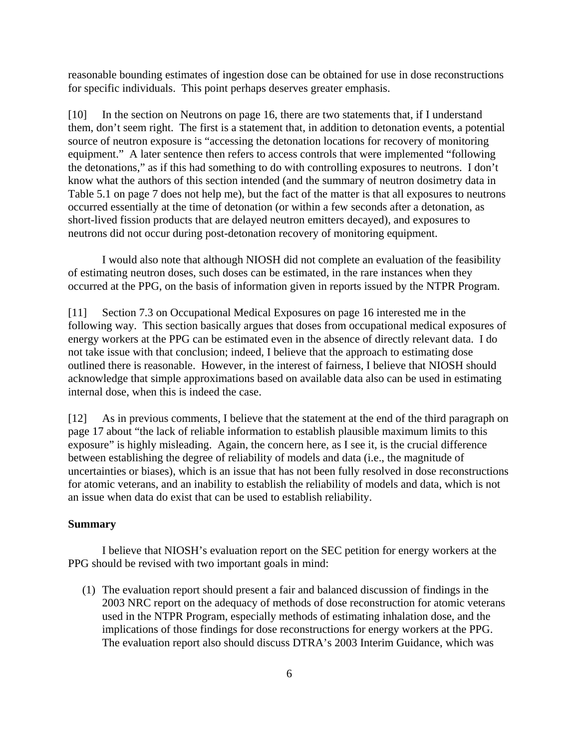reasonable bounding estimates of ingestion dose can be obtained for use in dose reconstructions for specific individuals. This point perhaps deserves greater emphasis.

[10] In the section on Neutrons on page 16, there are two statements that, if I understand them, don't seem right. The first is a statement that, in addition to detonation events, a potential source of neutron exposure is "accessing the detonation locations for recovery of monitoring equipment." A later sentence then refers to access controls that were implemented "following the detonations," as if this had something to do with controlling exposures to neutrons. I don't know what the authors of this section intended (and the summary of neutron dosimetry data in Table 5.1 on page 7 does not help me), but the fact of the matter is that all exposures to neutrons occurred essentially at the time of detonation (or within a few seconds after a detonation, as short-lived fission products that are delayed neutron emitters decayed), and exposures to neutrons did not occur during post-detonation recovery of monitoring equipment.

I would also note that although NIOSH did not complete an evaluation of the feasibility of estimating neutron doses, such doses can be estimated, in the rare instances when they occurred at the PPG, on the basis of information given in reports issued by the NTPR Program.

[11] Section 7.3 on Occupational Medical Exposures on page 16 interested me in the following way. This section basically argues that doses from occupational medical exposures of energy workers at the PPG can be estimated even in the absence of directly relevant data. I do not take issue with that conclusion; indeed, I believe that the approach to estimating dose outlined there is reasonable. However, in the interest of fairness, I believe that NIOSH should acknowledge that simple approximations based on available data also can be used in estimating internal dose, when this is indeed the case.

[12] As in previous comments, I believe that the statement at the end of the third paragraph on page 17 about "the lack of reliable information to establish plausible maximum limits to this exposure" is highly misleading. Again, the concern here, as I see it, is the crucial difference between establishing the degree of reliability of models and data (i.e., the magnitude of uncertainties or biases), which is an issue that has not been fully resolved in dose reconstructions for atomic veterans, and an inability to establish the reliability of models and data, which is not an issue when data do exist that can be used to establish reliability.

#### **Summary**

I believe that NIOSH's evaluation report on the SEC petition for energy workers at the PPG should be revised with two important goals in mind:

 (1) The evaluation report should present a fair and balanced discussion of findings in the 2003 NRC report on the adequacy of methods of dose reconstruction for atomic veterans used in the NTPR Program, especially methods of estimating inhalation dose, and the implications of those findings for dose reconstructions for energy workers at the PPG. The evaluation report also should discuss DTRA's 2003 Interim Guidance, which was